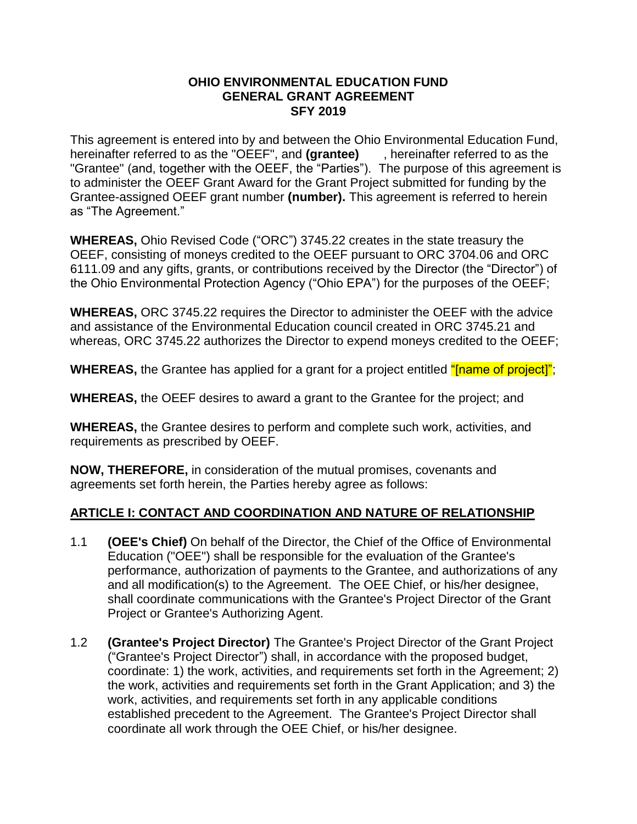#### **OHIO ENVIRONMENTAL EDUCATION FUND GENERAL GRANT AGREEMENT SFY 2019**

This agreement is entered into by and between the Ohio Environmental Education Fund, hereinafter referred to as the "OEEF", and **(grantee)** , hereinafter referred to as the "Grantee" (and, together with the OEEF, the "Parties"). The purpose of this agreement is to administer the OEEF Grant Award for the Grant Project submitted for funding by the Grantee-assigned OEEF grant number **(number).** This agreement is referred to herein as "The Agreement."

**WHEREAS,** Ohio Revised Code ("ORC") 3745.22 creates in the state treasury the OEEF, consisting of moneys credited to the OEEF pursuant to ORC 3704.06 and ORC 6111.09 and any gifts, grants, or contributions received by the Director (the "Director") of the Ohio Environmental Protection Agency ("Ohio EPA") for the purposes of the OEEF;

**WHEREAS,** ORC 3745.22 requires the Director to administer the OEEF with the advice and assistance of the Environmental Education council created in ORC 3745.21 and whereas, ORC 3745.22 authorizes the Director to expend moneys credited to the OEEF;

WHEREAS, the Grantee has applied for a grant for a project entitled "Iname of project]";

**WHEREAS,** the OEEF desires to award a grant to the Grantee for the project; and

**WHEREAS,** the Grantee desires to perform and complete such work, activities, and requirements as prescribed by OEEF.

**NOW, THEREFORE,** in consideration of the mutual promises, covenants and agreements set forth herein, the Parties hereby agree as follows:

# **ARTICLE I: CONTACT AND COORDINATION AND NATURE OF RELATIONSHIP**

- 1.1 **(OEE's Chief)** On behalf of the Director, the Chief of the Office of Environmental Education ("OEE") shall be responsible for the evaluation of the Grantee's performance, authorization of payments to the Grantee, and authorizations of any and all modification(s) to the Agreement. The OEE Chief, or his/her designee, shall coordinate communications with the Grantee's Project Director of the Grant Project or Grantee's Authorizing Agent.
- 1.2 **(Grantee's Project Director)** The Grantee's Project Director of the Grant Project ("Grantee's Project Director") shall, in accordance with the proposed budget, coordinate: 1) the work, activities, and requirements set forth in the Agreement; 2) the work, activities and requirements set forth in the Grant Application; and 3) the work, activities, and requirements set forth in any applicable conditions established precedent to the Agreement. The Grantee's Project Director shall coordinate all work through the OEE Chief, or his/her designee.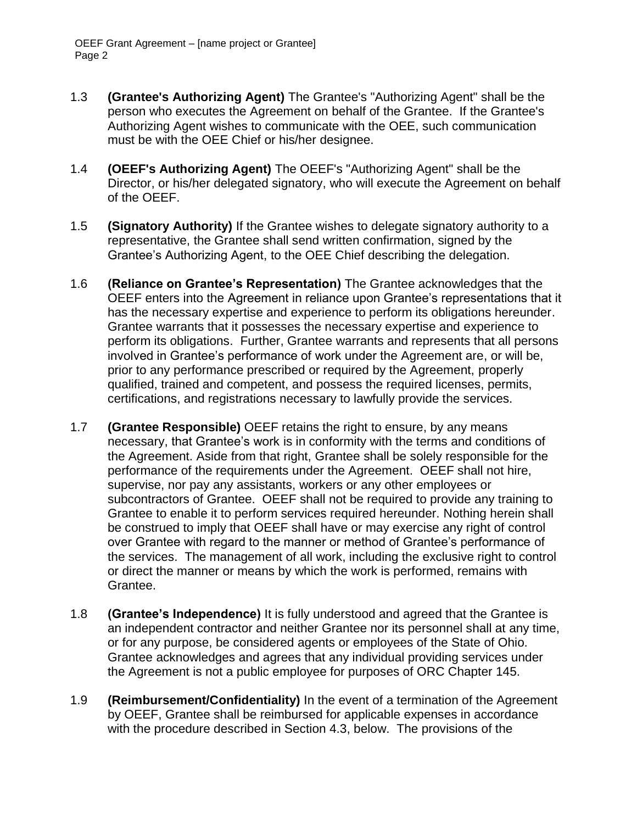- 1.3 **(Grantee's Authorizing Agent)** The Grantee's "Authorizing Agent" shall be the person who executes the Agreement on behalf of the Grantee. If the Grantee's Authorizing Agent wishes to communicate with the OEE, such communication must be with the OEE Chief or his/her designee.
- 1.4 **(OEEF's Authorizing Agent)** The OEEF's "Authorizing Agent" shall be the Director, or his/her delegated signatory, who will execute the Agreement on behalf of the OEEF.
- 1.5 **(Signatory Authority)** If the Grantee wishes to delegate signatory authority to a representative, the Grantee shall send written confirmation, signed by the Grantee's Authorizing Agent, to the OEE Chief describing the delegation.
- 1.6 **(Reliance on Grantee's Representation)** The Grantee acknowledges that the OEEF enters into the Agreement in reliance upon Grantee's representations that it has the necessary expertise and experience to perform its obligations hereunder. Grantee warrants that it possesses the necessary expertise and experience to perform its obligations. Further, Grantee warrants and represents that all persons involved in Grantee's performance of work under the Agreement are, or will be, prior to any performance prescribed or required by the Agreement, properly qualified, trained and competent, and possess the required licenses, permits, certifications, and registrations necessary to lawfully provide the services.
- 1.7 **(Grantee Responsible)** OEEF retains the right to ensure, by any means necessary, that Grantee's work is in conformity with the terms and conditions of the Agreement. Aside from that right, Grantee shall be solely responsible for the performance of the requirements under the Agreement. OEEF shall not hire, supervise, nor pay any assistants, workers or any other employees or subcontractors of Grantee. OEEF shall not be required to provide any training to Grantee to enable it to perform services required hereunder. Nothing herein shall be construed to imply that OEEF shall have or may exercise any right of control over Grantee with regard to the manner or method of Grantee's performance of the services. The management of all work, including the exclusive right to control or direct the manner or means by which the work is performed, remains with Grantee.
- 1.8 **(Grantee's Independence)** It is fully understood and agreed that the Grantee is an independent contractor and neither Grantee nor its personnel shall at any time, or for any purpose, be considered agents or employees of the State of Ohio. Grantee acknowledges and agrees that any individual providing services under the Agreement is not a public employee for purposes of ORC Chapter 145.
- 1.9 **(Reimbursement/Confidentiality)** In the event of a termination of the Agreement by OEEF, Grantee shall be reimbursed for applicable expenses in accordance with the procedure described in Section 4.3, below. The provisions of the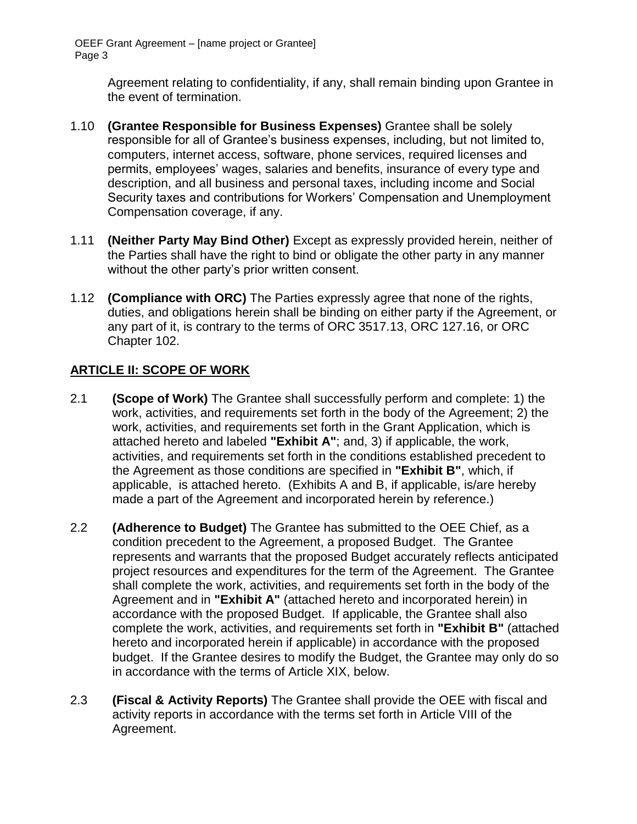> Agreement relating to confidentiality, if any, shall remain binding upon Grantee in the event of termination.

- 1.10 **(Grantee Responsible for Business Expenses)** Grantee shall be solely responsible for all of Grantee's business expenses, including, but not limited to, computers, internet access, software, phone services, required licenses and permits, employees' wages, salaries and benefits, insurance of every type and description, and all business and personal taxes, including income and Social Security taxes and contributions for Workers' Compensation and Unemployment Compensation coverage, if any.
- 1.11 **(Neither Party May Bind Other)** Except as expressly provided herein, neither of the Parties shall have the right to bind or obligate the other party in any manner without the other party's prior written consent.
- 1.12 **(Compliance with ORC)** The Parties expressly agree that none of the rights, duties, and obligations herein shall be binding on either party if the Agreement, or any part of it, is contrary to the terms of ORC 3517.13, ORC 127.16, or ORC Chapter 102.

# **ARTICLE II: SCOPE OF WORK**

- 2.1 **(Scope of Work)** The Grantee shall successfully perform and complete: 1) the work, activities, and requirements set forth in the body of the Agreement; 2) the work, activities, and requirements set forth in the Grant Application, which is attached hereto and labeled **"Exhibit A"**; and, 3) if applicable, the work, activities, and requirements set forth in the conditions established precedent to the Agreement as those conditions are specified in **"Exhibit B"**, which, if applicable, is attached hereto. (Exhibits A and B, if applicable, is/are hereby made a part of the Agreement and incorporated herein by reference.)
- 2.2 **(Adherence to Budget)** The Grantee has submitted to the OEE Chief, as a condition precedent to the Agreement, a proposed Budget. The Grantee represents and warrants that the proposed Budget accurately reflects anticipated project resources and expenditures for the term of the Agreement. The Grantee shall complete the work, activities, and requirements set forth in the body of the Agreement and in **"Exhibit A"** (attached hereto and incorporated herein) in accordance with the proposed Budget. If applicable, the Grantee shall also complete the work, activities, and requirements set forth in **"Exhibit B"** (attached hereto and incorporated herein if applicable) in accordance with the proposed budget. If the Grantee desires to modify the Budget, the Grantee may only do so in accordance with the terms of Article XIX, below.
- 2.3 **(Fiscal & Activity Reports)** The Grantee shall provide the OEE with fiscal and activity reports in accordance with the terms set forth in Article VIII of the Agreement.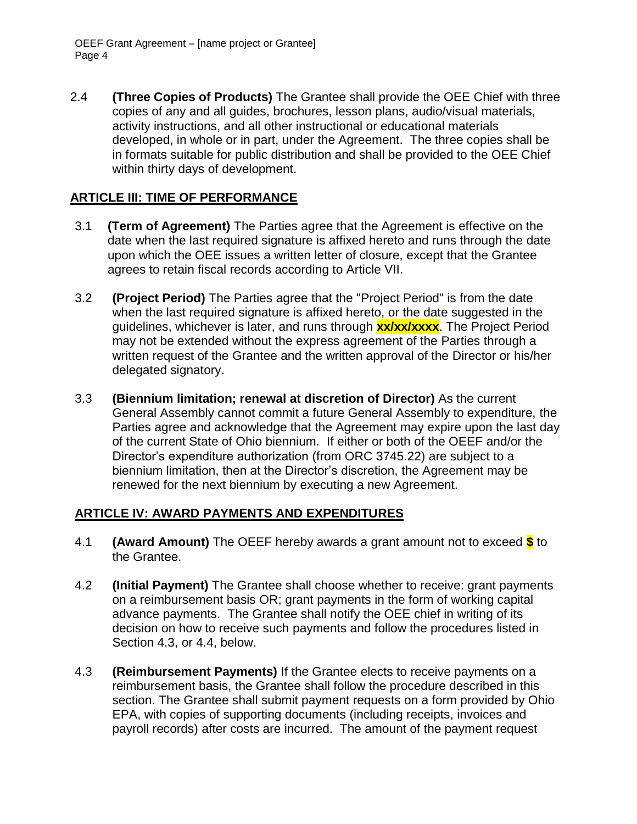2.4 **(Three Copies of Products)** The Grantee shall provide the OEE Chief with three copies of any and all guides, brochures, lesson plans, audio/visual materials, activity instructions, and all other instructional or educational materials developed, in whole or in part, under the Agreement. The three copies shall be in formats suitable for public distribution and shall be provided to the OEE Chief within thirty days of development.

# **ARTICLE III: TIME OF PERFORMANCE**

- 3.1 **(Term of Agreement)** The Parties agree that the Agreement is effective on the date when the last required signature is affixed hereto and runs through the date upon which the OEE issues a written letter of closure, except that the Grantee agrees to retain fiscal records according to Article VII.
- 3.2 **(Project Period)** The Parties agree that the "Project Period" is from the date when the last required signature is affixed hereto, or the date suggested in the guidelines, whichever is later, and runs through **xx/xx/xxxx**. The Project Period may not be extended without the express agreement of the Parties through a written request of the Grantee and the written approval of the Director or his/her delegated signatory.
- 3.3 **(Biennium limitation; renewal at discretion of Director)** As the current General Assembly cannot commit a future General Assembly to expenditure, the Parties agree and acknowledge that the Agreement may expire upon the last day of the current State of Ohio biennium. If either or both of the OEEF and/or the Director's expenditure authorization (from ORC 3745.22) are subject to a biennium limitation, then at the Director's discretion, the Agreement may be renewed for the next biennium by executing a new Agreement.

#### **ARTICLE IV: AWARD PAYMENTS AND EXPENDITURES**

- 4.1 **(Award Amount)** The OEEF hereby awards a grant amount not to exceed **\$** to the Grantee.
- 4.2 **(Initial Payment)** The Grantee shall choose whether to receive: grant payments on a reimbursement basis OR; grant payments in the form of working capital advance payments. The Grantee shall notify the OEE chief in writing of its decision on how to receive such payments and follow the procedures listed in Section 4.3, or 4.4, below.
- 4.3 **(Reimbursement Payments)** If the Grantee elects to receive payments on a reimbursement basis, the Grantee shall follow the procedure described in this section. The Grantee shall submit payment requests on a form provided by Ohio EPA, with copies of supporting documents (including receipts, invoices and payroll records) after costs are incurred. The amount of the payment request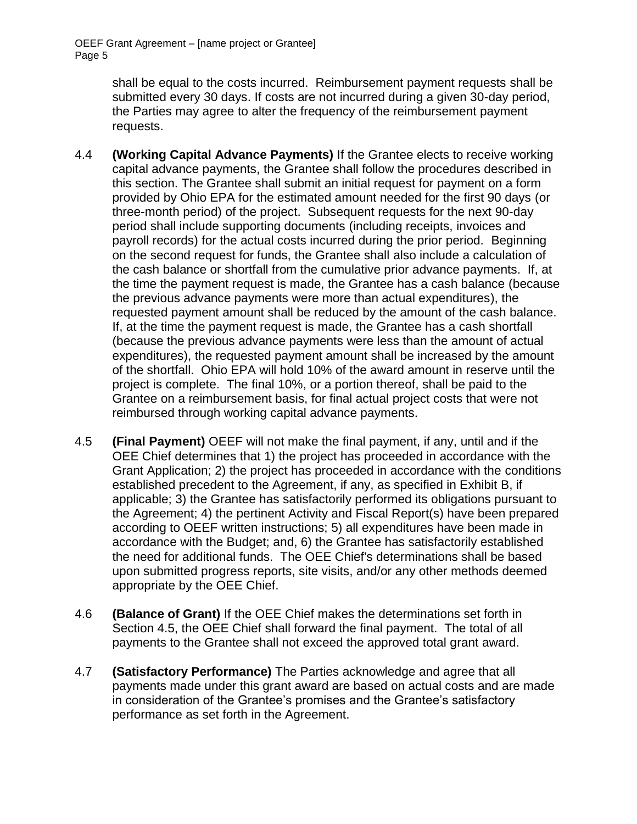> shall be equal to the costs incurred. Reimbursement payment requests shall be submitted every 30 days. If costs are not incurred during a given 30-day period, the Parties may agree to alter the frequency of the reimbursement payment requests.

- 4.4 **(Working Capital Advance Payments)** If the Grantee elects to receive working capital advance payments, the Grantee shall follow the procedures described in this section. The Grantee shall submit an initial request for payment on a form provided by Ohio EPA for the estimated amount needed for the first 90 days (or three-month period) of the project. Subsequent requests for the next 90-day period shall include supporting documents (including receipts, invoices and payroll records) for the actual costs incurred during the prior period. Beginning on the second request for funds, the Grantee shall also include a calculation of the cash balance or shortfall from the cumulative prior advance payments. If, at the time the payment request is made, the Grantee has a cash balance (because the previous advance payments were more than actual expenditures), the requested payment amount shall be reduced by the amount of the cash balance. If, at the time the payment request is made, the Grantee has a cash shortfall (because the previous advance payments were less than the amount of actual expenditures), the requested payment amount shall be increased by the amount of the shortfall. Ohio EPA will hold 10% of the award amount in reserve until the project is complete. The final 10%, or a portion thereof, shall be paid to the Grantee on a reimbursement basis, for final actual project costs that were not reimbursed through working capital advance payments.
- 4.5 **(Final Payment)** OEEF will not make the final payment, if any, until and if the OEE Chief determines that 1) the project has proceeded in accordance with the Grant Application; 2) the project has proceeded in accordance with the conditions established precedent to the Agreement, if any, as specified in Exhibit B, if applicable; 3) the Grantee has satisfactorily performed its obligations pursuant to the Agreement; 4) the pertinent Activity and Fiscal Report(s) have been prepared according to OEEF written instructions; 5) all expenditures have been made in accordance with the Budget; and, 6) the Grantee has satisfactorily established the need for additional funds. The OEE Chief's determinations shall be based upon submitted progress reports, site visits, and/or any other methods deemed appropriate by the OEE Chief.
- 4.6 **(Balance of Grant)** If the OEE Chief makes the determinations set forth in Section 4.5, the OEE Chief shall forward the final payment. The total of all payments to the Grantee shall not exceed the approved total grant award.
- 4.7 **(Satisfactory Performance)** The Parties acknowledge and agree that all payments made under this grant award are based on actual costs and are made in consideration of the Grantee's promises and the Grantee's satisfactory performance as set forth in the Agreement.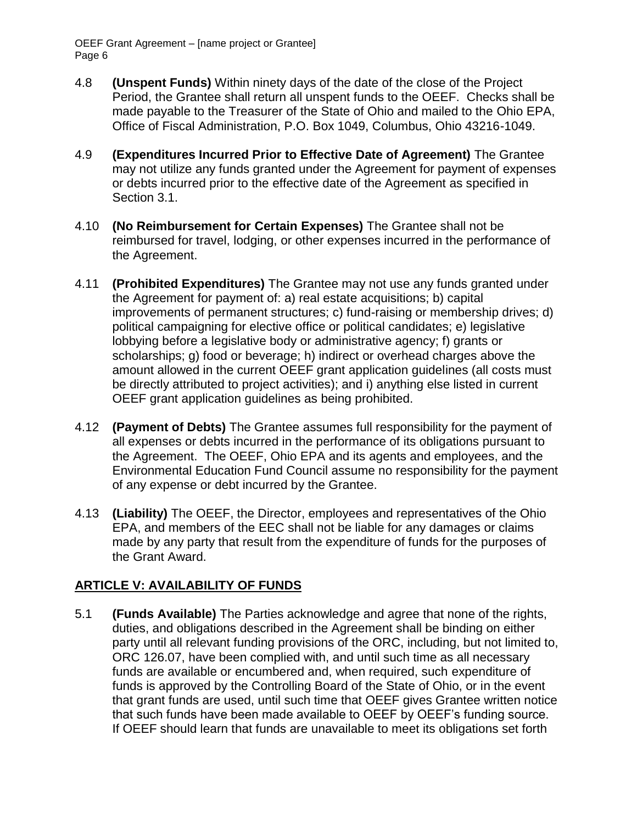- 4.8 **(Unspent Funds)** Within ninety days of the date of the close of the Project Period, the Grantee shall return all unspent funds to the OEEF. Checks shall be made payable to the Treasurer of the State of Ohio and mailed to the Ohio EPA, Office of Fiscal Administration, P.O. Box 1049, Columbus, Ohio 43216-1049.
- 4.9 **(Expenditures Incurred Prior to Effective Date of Agreement)** The Grantee may not utilize any funds granted under the Agreement for payment of expenses or debts incurred prior to the effective date of the Agreement as specified in Section 3.1.
- 4.10 **(No Reimbursement for Certain Expenses)** The Grantee shall not be reimbursed for travel, lodging, or other expenses incurred in the performance of the Agreement.
- 4.11 **(Prohibited Expenditures)** The Grantee may not use any funds granted under the Agreement for payment of: a) real estate acquisitions; b) capital improvements of permanent structures; c) fund-raising or membership drives; d) political campaigning for elective office or political candidates; e) legislative lobbying before a legislative body or administrative agency; f) grants or scholarships; g) food or beverage; h) indirect or overhead charges above the amount allowed in the current OEEF grant application guidelines (all costs must be directly attributed to project activities); and i) anything else listed in current OEEF grant application guidelines as being prohibited.
- 4.12 **(Payment of Debts)** The Grantee assumes full responsibility for the payment of all expenses or debts incurred in the performance of its obligations pursuant to the Agreement. The OEEF, Ohio EPA and its agents and employees, and the Environmental Education Fund Council assume no responsibility for the payment of any expense or debt incurred by the Grantee.
- 4.13 **(Liability)** The OEEF, the Director, employees and representatives of the Ohio EPA, and members of the EEC shall not be liable for any damages or claims made by any party that result from the expenditure of funds for the purposes of the Grant Award.

# **ARTICLE V: AVAILABILITY OF FUNDS**

5.1 **(Funds Available)** The Parties acknowledge and agree that none of the rights, duties, and obligations described in the Agreement shall be binding on either party until all relevant funding provisions of the ORC, including, but not limited to, ORC 126.07, have been complied with, and until such time as all necessary funds are available or encumbered and, when required, such expenditure of funds is approved by the Controlling Board of the State of Ohio, or in the event that grant funds are used, until such time that OEEF gives Grantee written notice that such funds have been made available to OEEF by OEEF's funding source. If OEEF should learn that funds are unavailable to meet its obligations set forth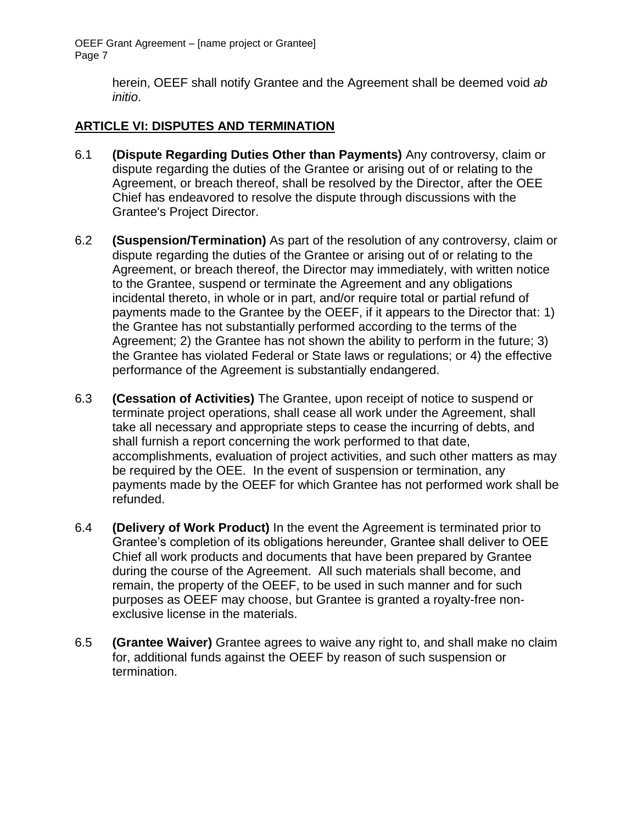> herein, OEEF shall notify Grantee and the Agreement shall be deemed void *ab initio*.

# **ARTICLE VI: DISPUTES AND TERMINATION**

- 6.1 **(Dispute Regarding Duties Other than Payments)** Any controversy, claim or dispute regarding the duties of the Grantee or arising out of or relating to the Agreement, or breach thereof, shall be resolved by the Director, after the OEE Chief has endeavored to resolve the dispute through discussions with the Grantee's Project Director.
- 6.2 **(Suspension/Termination)** As part of the resolution of any controversy, claim or dispute regarding the duties of the Grantee or arising out of or relating to the Agreement, or breach thereof, the Director may immediately, with written notice to the Grantee, suspend or terminate the Agreement and any obligations incidental thereto, in whole or in part, and/or require total or partial refund of payments made to the Grantee by the OEEF, if it appears to the Director that: 1) the Grantee has not substantially performed according to the terms of the Agreement; 2) the Grantee has not shown the ability to perform in the future; 3) the Grantee has violated Federal or State laws or regulations; or 4) the effective performance of the Agreement is substantially endangered.
- 6.3 **(Cessation of Activities)** The Grantee, upon receipt of notice to suspend or terminate project operations, shall cease all work under the Agreement, shall take all necessary and appropriate steps to cease the incurring of debts, and shall furnish a report concerning the work performed to that date, accomplishments, evaluation of project activities, and such other matters as may be required by the OEE. In the event of suspension or termination, any payments made by the OEEF for which Grantee has not performed work shall be refunded.
- 6.4 **(Delivery of Work Product)** In the event the Agreement is terminated prior to Grantee's completion of its obligations hereunder, Grantee shall deliver to OEE Chief all work products and documents that have been prepared by Grantee during the course of the Agreement. All such materials shall become, and remain, the property of the OEEF, to be used in such manner and for such purposes as OEEF may choose, but Grantee is granted a royalty-free nonexclusive license in the materials.
- 6.5 **(Grantee Waiver)** Grantee agrees to waive any right to, and shall make no claim for, additional funds against the OEEF by reason of such suspension or termination.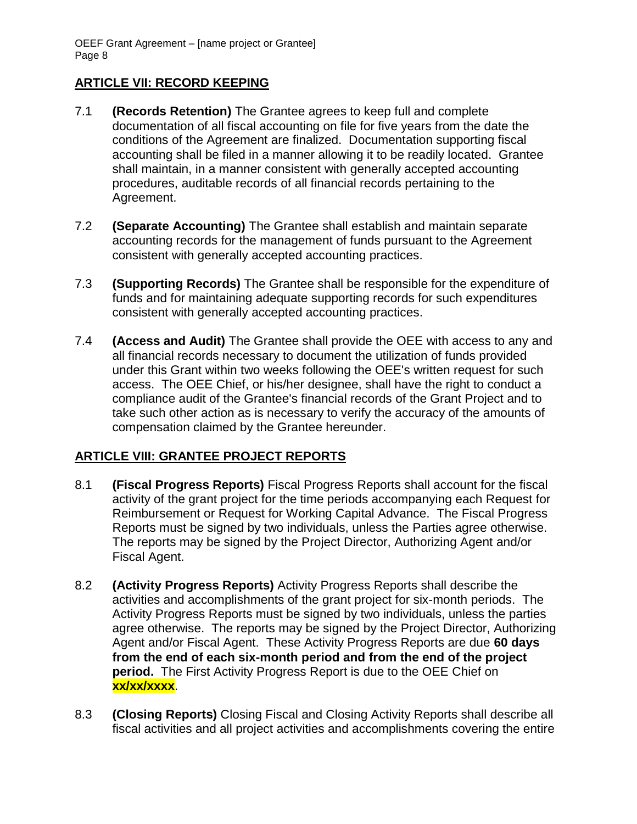# **ARTICLE VII: RECORD KEEPING**

- 7.1 **(Records Retention)** The Grantee agrees to keep full and complete documentation of all fiscal accounting on file for five years from the date the conditions of the Agreement are finalized. Documentation supporting fiscal accounting shall be filed in a manner allowing it to be readily located. Grantee shall maintain, in a manner consistent with generally accepted accounting procedures, auditable records of all financial records pertaining to the Agreement.
- 7.2 **(Separate Accounting)** The Grantee shall establish and maintain separate accounting records for the management of funds pursuant to the Agreement consistent with generally accepted accounting practices.
- 7.3 **(Supporting Records)** The Grantee shall be responsible for the expenditure of funds and for maintaining adequate supporting records for such expenditures consistent with generally accepted accounting practices.
- 7.4 **(Access and Audit)** The Grantee shall provide the OEE with access to any and all financial records necessary to document the utilization of funds provided under this Grant within two weeks following the OEE's written request for such access. The OEE Chief, or his/her designee, shall have the right to conduct a compliance audit of the Grantee's financial records of the Grant Project and to take such other action as is necessary to verify the accuracy of the amounts of compensation claimed by the Grantee hereunder.

# **ARTICLE VIII: GRANTEE PROJECT REPORTS**

- 8.1 **(Fiscal Progress Reports)** Fiscal Progress Reports shall account for the fiscal activity of the grant project for the time periods accompanying each Request for Reimbursement or Request for Working Capital Advance. The Fiscal Progress Reports must be signed by two individuals, unless the Parties agree otherwise. The reports may be signed by the Project Director, Authorizing Agent and/or Fiscal Agent.
- 8.2 **(Activity Progress Reports)** Activity Progress Reports shall describe the activities and accomplishments of the grant project for six-month periods. The Activity Progress Reports must be signed by two individuals, unless the parties agree otherwise. The reports may be signed by the Project Director, Authorizing Agent and/or Fiscal Agent. These Activity Progress Reports are due **60 days from the end of each six-month period and from the end of the project period.** The First Activity Progress Report is due to the OEE Chief on **xx/xx/xxxx**.
- 8.3 **(Closing Reports)** Closing Fiscal and Closing Activity Reports shall describe all fiscal activities and all project activities and accomplishments covering the entire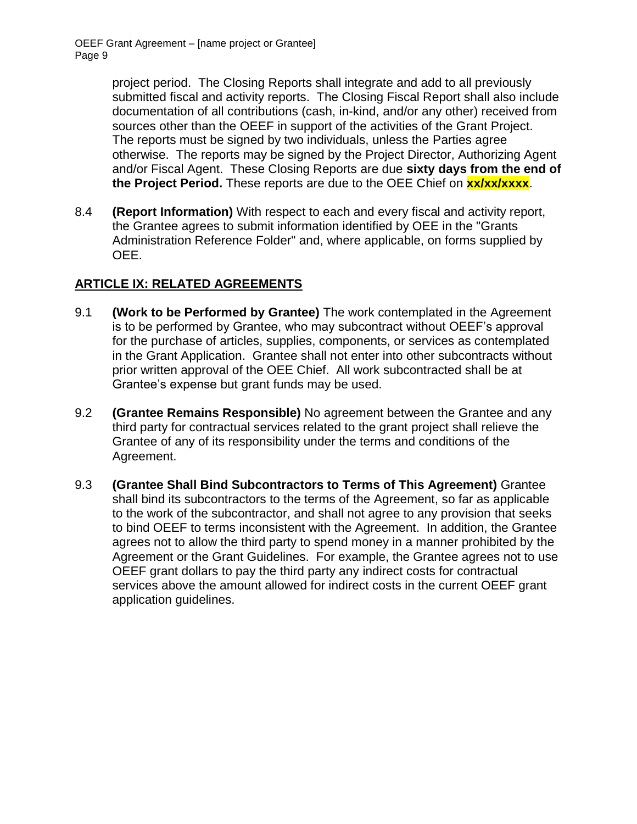project period. The Closing Reports shall integrate and add to all previously submitted fiscal and activity reports. The Closing Fiscal Report shall also include documentation of all contributions (cash, in-kind, and/or any other) received from sources other than the OEEF in support of the activities of the Grant Project. The reports must be signed by two individuals, unless the Parties agree otherwise. The reports may be signed by the Project Director, Authorizing Agent and/or Fiscal Agent. These Closing Reports are due **sixty days from the end of the Project Period.** These reports are due to the OEE Chief on **xx/xx/xxxx**.

8.4 **(Report Information)** With respect to each and every fiscal and activity report, the Grantee agrees to submit information identified by OEE in the "Grants Administration Reference Folder" and, where applicable, on forms supplied by OEE.

# **ARTICLE IX: RELATED AGREEMENTS**

- 9.1 **(Work to be Performed by Grantee)** The work contemplated in the Agreement is to be performed by Grantee, who may subcontract without OEEF's approval for the purchase of articles, supplies, components, or services as contemplated in the Grant Application. Grantee shall not enter into other subcontracts without prior written approval of the OEE Chief. All work subcontracted shall be at Grantee's expense but grant funds may be used.
- 9.2 **(Grantee Remains Responsible)** No agreement between the Grantee and any third party for contractual services related to the grant project shall relieve the Grantee of any of its responsibility under the terms and conditions of the Agreement.
- 9.3 **(Grantee Shall Bind Subcontractors to Terms of This Agreement)** Grantee shall bind its subcontractors to the terms of the Agreement, so far as applicable to the work of the subcontractor, and shall not agree to any provision that seeks to bind OEEF to terms inconsistent with the Agreement. In addition, the Grantee agrees not to allow the third party to spend money in a manner prohibited by the Agreement or the Grant Guidelines. For example, the Grantee agrees not to use OEEF grant dollars to pay the third party any indirect costs for contractual services above the amount allowed for indirect costs in the current OEEF grant application guidelines.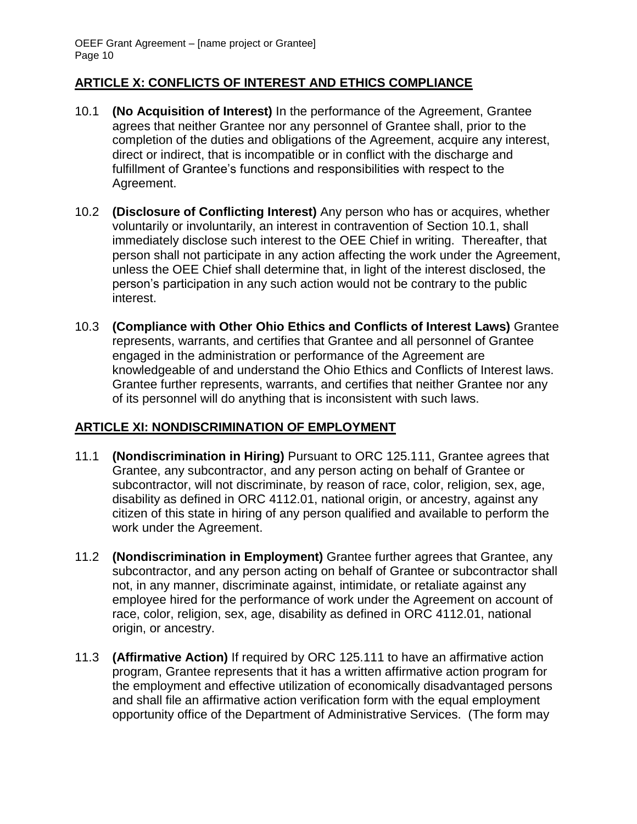#### **ARTICLE X: CONFLICTS OF INTEREST AND ETHICS COMPLIANCE**

- 10.1 **(No Acquisition of Interest)** In the performance of the Agreement, Grantee agrees that neither Grantee nor any personnel of Grantee shall, prior to the completion of the duties and obligations of the Agreement, acquire any interest, direct or indirect, that is incompatible or in conflict with the discharge and fulfillment of Grantee's functions and responsibilities with respect to the Agreement.
- 10.2 **(Disclosure of Conflicting Interest)** Any person who has or acquires, whether voluntarily or involuntarily, an interest in contravention of Section 10.1, shall immediately disclose such interest to the OEE Chief in writing. Thereafter, that person shall not participate in any action affecting the work under the Agreement, unless the OEE Chief shall determine that, in light of the interest disclosed, the person's participation in any such action would not be contrary to the public interest.
- 10.3 **(Compliance with Other Ohio Ethics and Conflicts of Interest Laws)** Grantee represents, warrants, and certifies that Grantee and all personnel of Grantee engaged in the administration or performance of the Agreement are knowledgeable of and understand the Ohio Ethics and Conflicts of Interest laws. Grantee further represents, warrants, and certifies that neither Grantee nor any of its personnel will do anything that is inconsistent with such laws.

# **ARTICLE XI: NONDISCRIMINATION OF EMPLOYMENT**

- 11.1 **(Nondiscrimination in Hiring)** Pursuant to ORC 125.111, Grantee agrees that Grantee, any subcontractor, and any person acting on behalf of Grantee or subcontractor, will not discriminate, by reason of race, color, religion, sex, age, disability as defined in ORC 4112.01, national origin, or ancestry, against any citizen of this state in hiring of any person qualified and available to perform the work under the Agreement.
- 11.2 **(Nondiscrimination in Employment)** Grantee further agrees that Grantee, any subcontractor, and any person acting on behalf of Grantee or subcontractor shall not, in any manner, discriminate against, intimidate, or retaliate against any employee hired for the performance of work under the Agreement on account of race, color, religion, sex, age, disability as defined in ORC 4112.01, national origin, or ancestry.
- 11.3 **(Affirmative Action)** If required by ORC 125.111 to have an affirmative action program, Grantee represents that it has a written affirmative action program for the employment and effective utilization of economically disadvantaged persons and shall file an affirmative action verification form with the equal employment opportunity office of the Department of Administrative Services. (The form may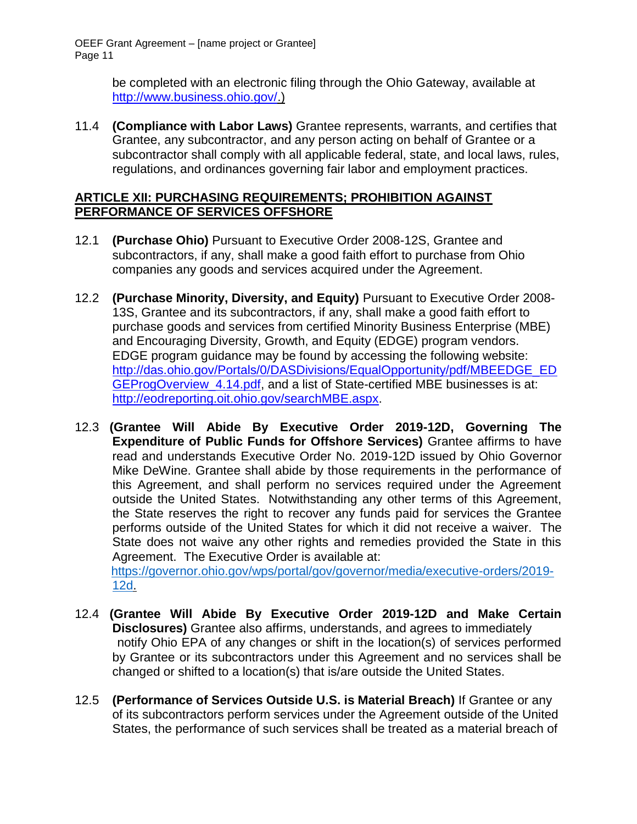> be completed with an electronic filing through the Ohio Gateway, available at [http://www.business.ohio.gov/.](http://www.business.ohio.gov/))

11.4 **(Compliance with Labor Laws)** Grantee represents, warrants, and certifies that Grantee, any subcontractor, and any person acting on behalf of Grantee or a subcontractor shall comply with all applicable federal, state, and local laws, rules, regulations, and ordinances governing fair labor and employment practices.

#### **ARTICLE XII: PURCHASING REQUIREMENTS; PROHIBITION AGAINST PERFORMANCE OF SERVICES OFFSHORE**

- 12.1 **(Purchase Ohio)** Pursuant to Executive Order 2008-12S, Grantee and subcontractors, if any, shall make a good faith effort to purchase from Ohio companies any goods and services acquired under the Agreement.
- 12.2 **(Purchase Minority, Diversity, and Equity)** Pursuant to Executive Order 2008- 13S, Grantee and its subcontractors, if any, shall make a good faith effort to purchase goods and services from certified Minority Business Enterprise (MBE) and Encouraging Diversity, Growth, and Equity (EDGE) program vendors. EDGE program guidance may be found by accessing the following website: [http://das.ohio.gov/Portals/0/DASDivisions/EqualOpportunity/pdf/MBEEDGE\\_ED](http://das.ohio.gov/Portals/0/DASDivisions/EqualOpportunity/pdf/MBEEDGE_EDGEProgOverview_4.14.pdf) GEProgOverview 4.14.pdf, and a list of State-certified MBE businesses is at: [http://eodreporting.oit.ohio.gov/searchMBE.aspx.](http://eodreporting.oit.ohio.gov/searchMBE.aspx)
- 12.3 **(Grantee Will Abide By Executive Order 2019-12D, Governing The Expenditure of Public Funds for Offshore Services)** Grantee affirms to have read and understands Executive Order No. 2019-12D issued by Ohio Governor Mike DeWine. Grantee shall abide by those requirements in the performance of this Agreement, and shall perform no services required under the Agreement outside the United States. Notwithstanding any other terms of this Agreement, the State reserves the right to recover any funds paid for services the Grantee performs outside of the United States for which it did not receive a waiver. The State does not waive any other rights and remedies provided the State in this Agreement. The Executive Order is available at:

https://governor.ohio.gov/wps/portal/gov/governor/media/executive-orders/2019- 12d.

- 12.4 **(Grantee Will Abide By Executive Order 2019-12D and Make Certain Disclosures)** Grantee also affirms, understands, and agrees to immediately notify Ohio EPA of any changes or shift in the location(s) of services performed by Grantee or its subcontractors under this Agreement and no services shall be changed or shifted to a location(s) that is/are outside the United States.
- 12.5 **(Performance of Services Outside U.S. is Material Breach)** If Grantee or any of its subcontractors perform services under the Agreement outside of the United States, the performance of such services shall be treated as a material breach of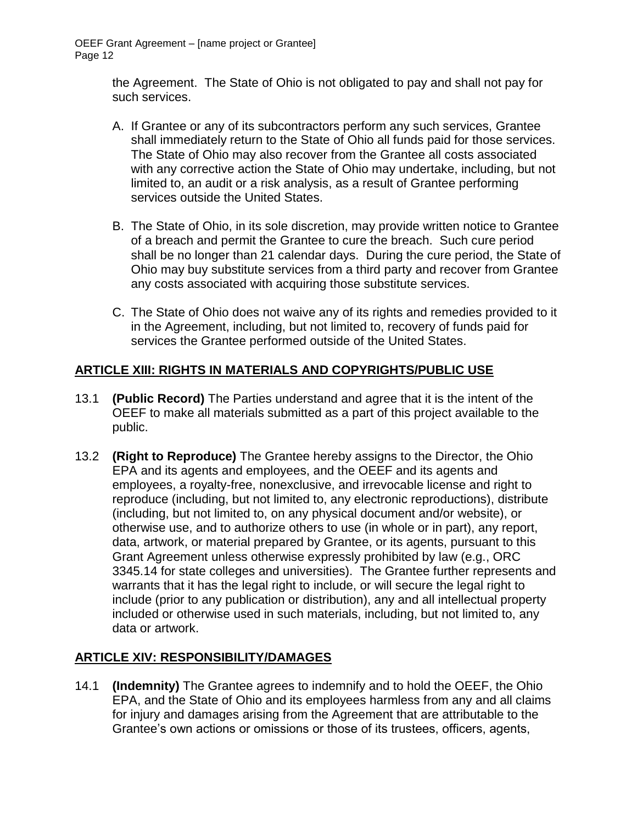the Agreement. The State of Ohio is not obligated to pay and shall not pay for such services.

- A. If Grantee or any of its subcontractors perform any such services, Grantee shall immediately return to the State of Ohio all funds paid for those services. The State of Ohio may also recover from the Grantee all costs associated with any corrective action the State of Ohio may undertake, including, but not limited to, an audit or a risk analysis, as a result of Grantee performing services outside the United States.
- B. The State of Ohio, in its sole discretion, may provide written notice to Grantee of a breach and permit the Grantee to cure the breach. Such cure period shall be no longer than 21 calendar days. During the cure period, the State of Ohio may buy substitute services from a third party and recover from Grantee any costs associated with acquiring those substitute services.
- C. The State of Ohio does not waive any of its rights and remedies provided to it in the Agreement, including, but not limited to, recovery of funds paid for services the Grantee performed outside of the United States.

# **ARTICLE XIII: RIGHTS IN MATERIALS AND COPYRIGHTS/PUBLIC USE**

- 13.1 **(Public Record)** The Parties understand and agree that it is the intent of the OEEF to make all materials submitted as a part of this project available to the public.
- 13.2 **(Right to Reproduce)** The Grantee hereby assigns to the Director, the Ohio EPA and its agents and employees, and the OEEF and its agents and employees, a royalty-free, nonexclusive, and irrevocable license and right to reproduce (including, but not limited to, any electronic reproductions), distribute (including, but not limited to, on any physical document and/or website), or otherwise use, and to authorize others to use (in whole or in part), any report, data, artwork, or material prepared by Grantee, or its agents, pursuant to this Grant Agreement unless otherwise expressly prohibited by law (e.g., ORC 3345.14 for state colleges and universities). The Grantee further represents and warrants that it has the legal right to include, or will secure the legal right to include (prior to any publication or distribution), any and all intellectual property included or otherwise used in such materials, including, but not limited to, any data or artwork.

# **ARTICLE XIV: RESPONSIBILITY/DAMAGES**

14.1 **(Indemnity)** The Grantee agrees to indemnify and to hold the OEEF, the Ohio EPA, and the State of Ohio and its employees harmless from any and all claims for injury and damages arising from the Agreement that are attributable to the Grantee's own actions or omissions or those of its trustees, officers, agents,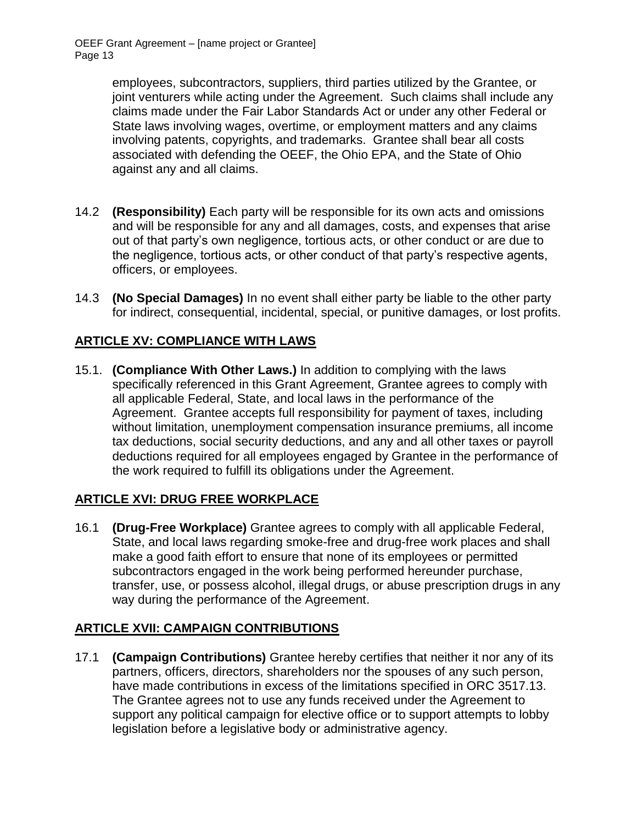employees, subcontractors, suppliers, third parties utilized by the Grantee, or joint venturers while acting under the Agreement. Such claims shall include any claims made under the Fair Labor Standards Act or under any other Federal or State laws involving wages, overtime, or employment matters and any claims involving patents, copyrights, and trademarks. Grantee shall bear all costs associated with defending the OEEF, the Ohio EPA, and the State of Ohio against any and all claims.

- 14.2 **(Responsibility)** Each party will be responsible for its own acts and omissions and will be responsible for any and all damages, costs, and expenses that arise out of that party's own negligence, tortious acts, or other conduct or are due to the negligence, tortious acts, or other conduct of that party's respective agents, officers, or employees.
- 14.3 **(No Special Damages)** In no event shall either party be liable to the other party for indirect, consequential, incidental, special, or punitive damages, or lost profits.

# **ARTICLE XV: COMPLIANCE WITH LAWS**

15.1. **(Compliance With Other Laws.)** In addition to complying with the laws specifically referenced in this Grant Agreement, Grantee agrees to comply with all applicable Federal, State, and local laws in the performance of the Agreement. Grantee accepts full responsibility for payment of taxes, including without limitation, unemployment compensation insurance premiums, all income tax deductions, social security deductions, and any and all other taxes or payroll deductions required for all employees engaged by Grantee in the performance of the work required to fulfill its obligations under the Agreement.

# **ARTICLE XVI: DRUG FREE WORKPLACE**

16.1 **(Drug-Free Workplace)** Grantee agrees to comply with all applicable Federal, State, and local laws regarding smoke-free and drug-free work places and shall make a good faith effort to ensure that none of its employees or permitted subcontractors engaged in the work being performed hereunder purchase, transfer, use, or possess alcohol, illegal drugs, or abuse prescription drugs in any way during the performance of the Agreement.

# **ARTICLE XVII: CAMPAIGN CONTRIBUTIONS**

17.1 **(Campaign Contributions)** Grantee hereby certifies that neither it nor any of its partners, officers, directors, shareholders nor the spouses of any such person, have made contributions in excess of the limitations specified in ORC 3517.13. The Grantee agrees not to use any funds received under the Agreement to support any political campaign for elective office or to support attempts to lobby legislation before a legislative body or administrative agency.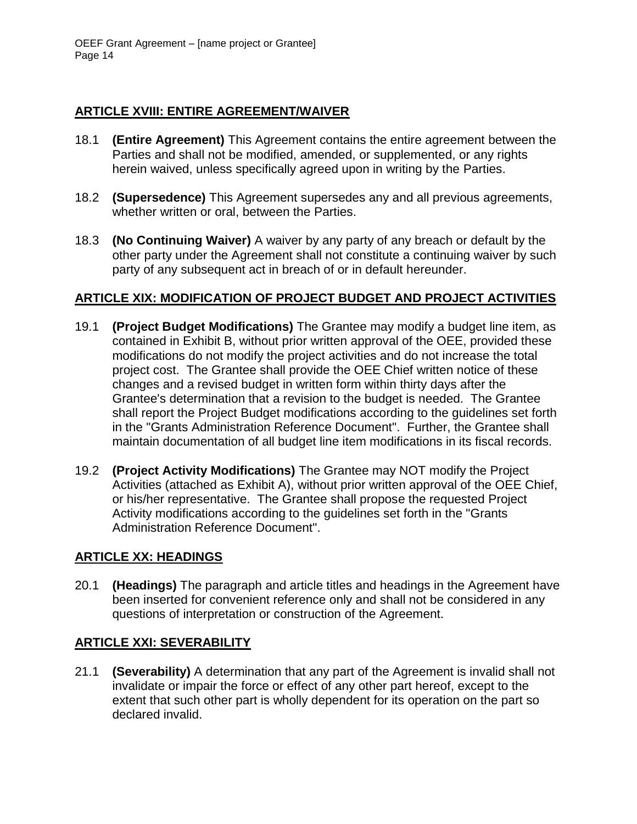#### **ARTICLE XVIII: ENTIRE AGREEMENT/WAIVER**

- 18.1 **(Entire Agreement)** This Agreement contains the entire agreement between the Parties and shall not be modified, amended, or supplemented, or any rights herein waived, unless specifically agreed upon in writing by the Parties.
- 18.2 **(Supersedence)** This Agreement supersedes any and all previous agreements, whether written or oral, between the Parties.
- 18.3 **(No Continuing Waiver)** A waiver by any party of any breach or default by the other party under the Agreement shall not constitute a continuing waiver by such party of any subsequent act in breach of or in default hereunder.

#### **ARTICLE XIX: MODIFICATION OF PROJECT BUDGET AND PROJECT ACTIVITIES**

- 19.1 **(Project Budget Modifications)** The Grantee may modify a budget line item, as contained in Exhibit B, without prior written approval of the OEE, provided these modifications do not modify the project activities and do not increase the total project cost. The Grantee shall provide the OEE Chief written notice of these changes and a revised budget in written form within thirty days after the Grantee's determination that a revision to the budget is needed. The Grantee shall report the Project Budget modifications according to the guidelines set forth in the "Grants Administration Reference Document". Further, the Grantee shall maintain documentation of all budget line item modifications in its fiscal records.
- 19.2 **(Project Activity Modifications)** The Grantee may NOT modify the Project Activities (attached as Exhibit A), without prior written approval of the OEE Chief, or his/her representative. The Grantee shall propose the requested Project Activity modifications according to the guidelines set forth in the "Grants Administration Reference Document".

# **ARTICLE XX: HEADINGS**

20.1 **(Headings)** The paragraph and article titles and headings in the Agreement have been inserted for convenient reference only and shall not be considered in any questions of interpretation or construction of the Agreement.

# **ARTICLE XXI: SEVERABILITY**

21.1 **(Severability)** A determination that any part of the Agreement is invalid shall not invalidate or impair the force or effect of any other part hereof, except to the extent that such other part is wholly dependent for its operation on the part so declared invalid.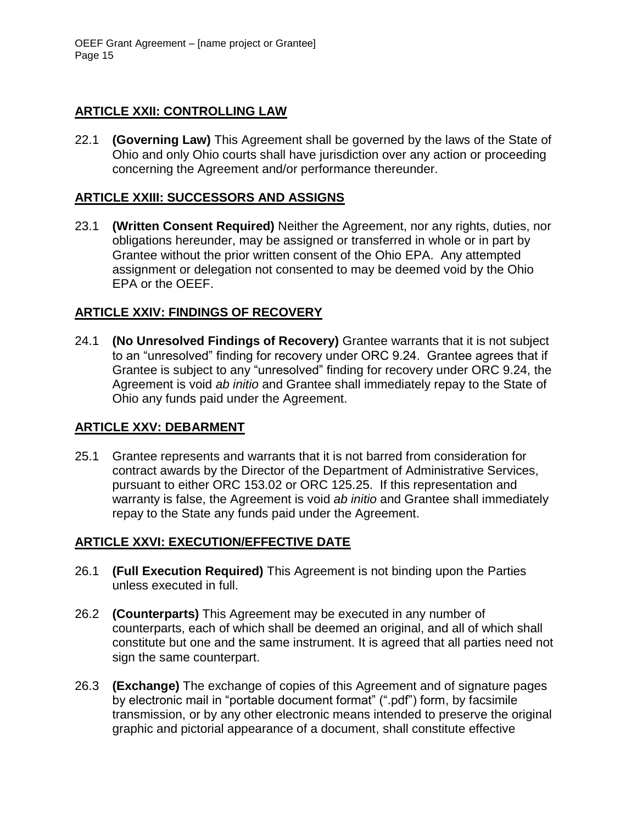# **ARTICLE XXII: CONTROLLING LAW**

22.1 **(Governing Law)** This Agreement shall be governed by the laws of the State of Ohio and only Ohio courts shall have jurisdiction over any action or proceeding concerning the Agreement and/or performance thereunder.

# **ARTICLE XXIII: SUCCESSORS AND ASSIGNS**

23.1 **(Written Consent Required)** Neither the Agreement, nor any rights, duties, nor obligations hereunder, may be assigned or transferred in whole or in part by Grantee without the prior written consent of the Ohio EPA. Any attempted assignment or delegation not consented to may be deemed void by the Ohio EPA or the OEEF.

# **ARTICLE XXIV: FINDINGS OF RECOVERY**

24.1 **(No Unresolved Findings of Recovery)** Grantee warrants that it is not subject to an "unresolved" finding for recovery under ORC 9.24. Grantee agrees that if Grantee is subject to any "unresolved" finding for recovery under ORC 9.24, the Agreement is void *ab initio* and Grantee shall immediately repay to the State of Ohio any funds paid under the Agreement.

# **ARTICLE XXV: DEBARMENT**

25.1 Grantee represents and warrants that it is not barred from consideration for contract awards by the Director of the Department of Administrative Services, pursuant to either ORC 153.02 or ORC 125.25. If this representation and warranty is false, the Agreement is void *ab initio* and Grantee shall immediately repay to the State any funds paid under the Agreement.

# **ARTICLE XXVI: EXECUTION/EFFECTIVE DATE**

- 26.1 **(Full Execution Required)** This Agreement is not binding upon the Parties unless executed in full.
- 26.2 **(Counterparts)** This Agreement may be executed in any number of counterparts, each of which shall be deemed an original, and all of which shall constitute but one and the same instrument. It is agreed that all parties need not sign the same counterpart.
- 26.3 **(Exchange)** The exchange of copies of this Agreement and of signature pages by electronic mail in "portable document format" (".pdf") form, by facsimile transmission, or by any other electronic means intended to preserve the original graphic and pictorial appearance of a document, shall constitute effective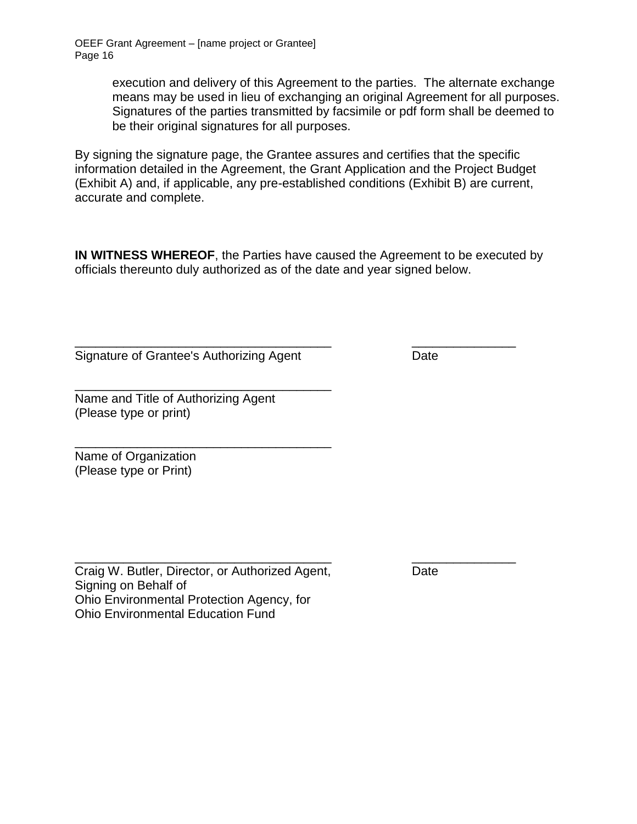execution and delivery of this Agreement to the parties. The alternate exchange means may be used in lieu of exchanging an original Agreement for all purposes. Signatures of the parties transmitted by facsimile or pdf form shall be deemed to be their original signatures for all purposes.

By signing the signature page, the Grantee assures and certifies that the specific information detailed in the Agreement, the Grant Application and the Project Budget (Exhibit A) and, if applicable, any pre-established conditions (Exhibit B) are current, accurate and complete.

**IN WITNESS WHEREOF**, the Parties have caused the Agreement to be executed by officials thereunto duly authorized as of the date and year signed below.

Signature of Grantee's Authorizing Agent Date

\_\_\_\_\_\_\_\_\_\_\_\_\_\_\_\_\_\_\_\_\_\_\_\_\_\_\_\_\_\_\_\_\_\_\_\_\_ \_\_\_\_\_\_\_\_\_\_\_\_\_\_\_

\_\_\_\_\_\_\_\_\_\_\_\_\_\_\_\_\_\_\_\_\_\_\_\_\_\_\_\_\_\_\_\_\_\_\_\_\_ Name and Title of Authorizing Agent (Please type or print)

\_\_\_\_\_\_\_\_\_\_\_\_\_\_\_\_\_\_\_\_\_\_\_\_\_\_\_\_\_\_\_\_\_\_\_\_\_ Name of Organization (Please type or Print)

Craig W. Butler, Director, or Authorized Agent, Date Signing on Behalf of Ohio Environmental Protection Agency, for Ohio Environmental Education Fund

\_\_\_\_\_\_\_\_\_\_\_\_\_\_\_\_\_\_\_\_\_\_\_\_\_\_\_\_\_\_\_\_\_\_\_\_\_ \_\_\_\_\_\_\_\_\_\_\_\_\_\_\_